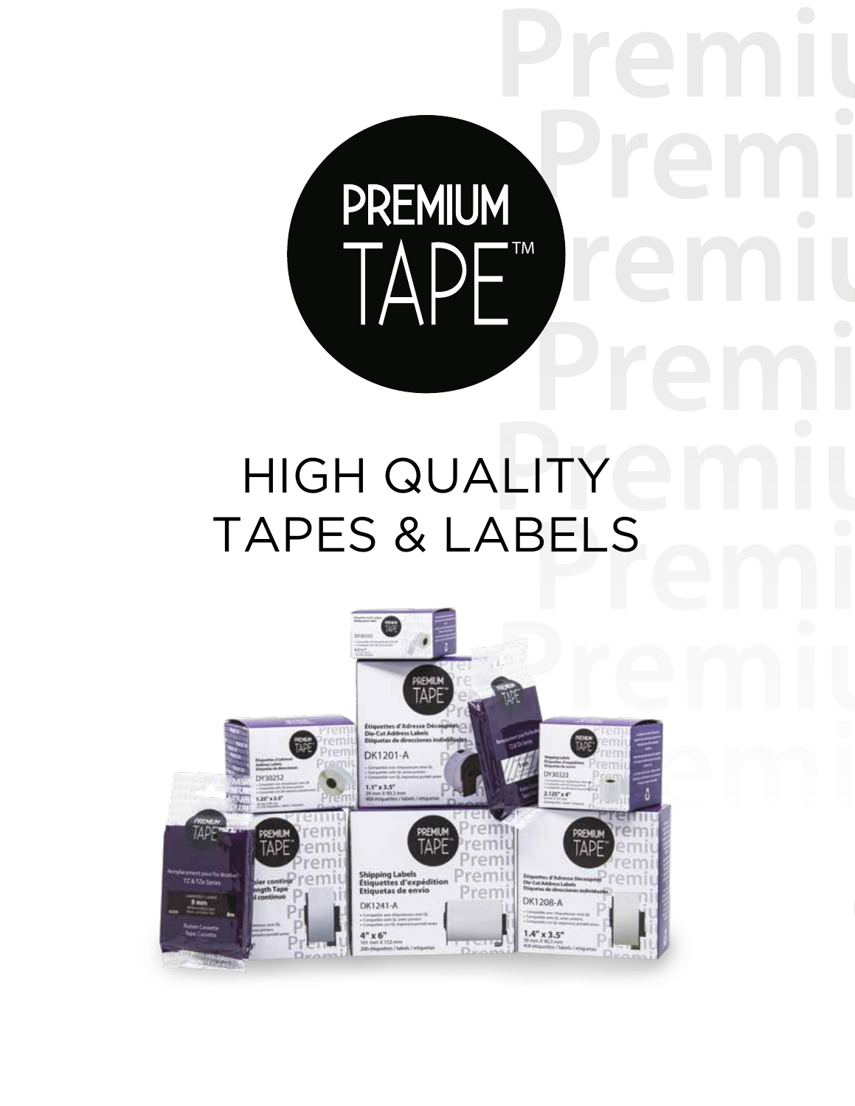# LITY COMPILE HIGH QUALITY TAPES & LABELS

TA

DE TM

Premi

Premi

**PTM**<br>Premium and the contract of the contract of the contract of the contract of the contract of the contract of the contract of the contract of the contract of the contract of the contract of the contract of the contract

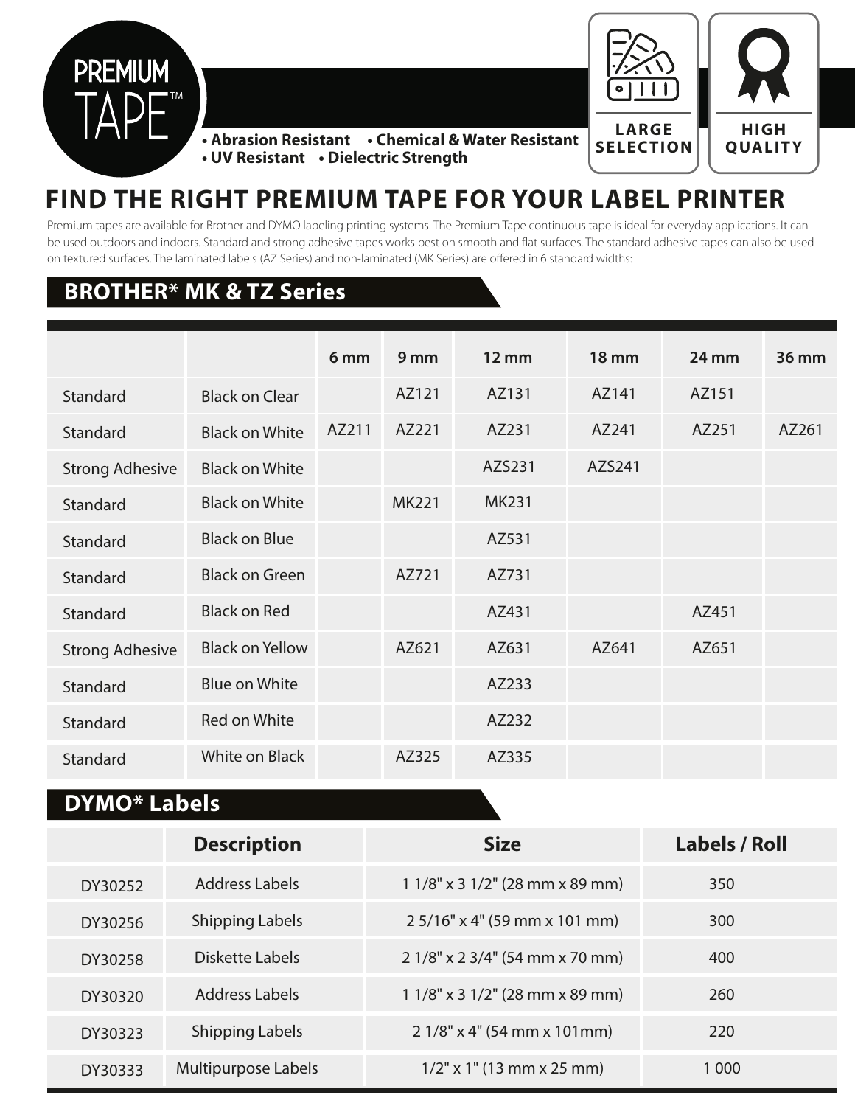



**QUALITY • Abrasion Resistant • Chemical & Water Resistant • UV Resistant • Dielectric Strength**

## **FIND THE RIGHT PREMIUM TAPE FOR YOUR LABEL PRINTER**

Premium tapes are available for Brother and DYMO labeling printing systems. The Premium Tape continuous tape is ideal for everyday applications. It can be used outdoors and indoors. Standard and strong adhesive tapes works best on smooth and flat surfaces. The standard adhesive tapes can also be used on textured surfaces. The laminated labels (AZ Series) and non-laminated (MK Series) are offered in 6 standard widths:

### **BROTHER\* MK & TZ Series**

|                        |                        | 6 <sub>mm</sub> | 9 mm         | $12 \, \text{mm}$ | <b>18 mm</b> | <b>24 mm</b> | 36 mm |
|------------------------|------------------------|-----------------|--------------|-------------------|--------------|--------------|-------|
| Standard               | <b>Black on Clear</b>  |                 | AZ121        | AZ131             | AZ141        | AZ151        |       |
| Standard               | <b>Black on White</b>  | AZ211           | AZ221        | AZ231             | AZ241        | AZ251        | AZ261 |
| <b>Strong Adhesive</b> | <b>Black on White</b>  |                 |              | AZS231            | AZS241       |              |       |
| Standard               | <b>Black on White</b>  |                 | <b>MK221</b> | <b>MK231</b>      |              |              |       |
| Standard               | <b>Black on Blue</b>   |                 |              | AZ531             |              |              |       |
| Standard               | <b>Black on Green</b>  |                 | AZ721        | AZ731             |              |              |       |
| Standard               | <b>Black on Red</b>    |                 |              | AZ431             |              | AZ451        |       |
| <b>Strong Adhesive</b> | <b>Black on Yellow</b> |                 | AZ621        | AZ631             | AZ641        | AZ651        |       |
| Standard               | <b>Blue on White</b>   |                 |              | AZ233             |              |              |       |
| Standard               | <b>Red on White</b>    |                 |              | AZ232             |              |              |       |
| Standard               | <b>White on Black</b>  |                 | AZ325        | AZ335             |              |              |       |

#### **DYMO\* Labels**

|         | <b>Description</b>     | <b>Size</b>                          | <b>Labels / Roll</b> |
|---------|------------------------|--------------------------------------|----------------------|
| DY30252 | Address Labels         | $11/8$ " x 3 $1/2$ " (28 mm x 89 mm) | 350                  |
| DY30256 | <b>Shipping Labels</b> | 2 5/16" x 4" (59 mm x 101 mm)        | 300                  |
| DY30258 | Diskette Labels        | 2 1/8" x 2 3/4" (54 mm x 70 mm)      | 400                  |
| DY30320 | Address Labels         | $11/8$ " x 3 $1/2$ " (28 mm x 89 mm) | 260                  |
| DY30323 | <b>Shipping Labels</b> | $21/8$ " x 4" (54 mm x 101 mm)       | 220                  |
| DY30333 | Multipurpose Labels    | $1/2$ " x 1" (13 mm x 25 mm)         | 1.000                |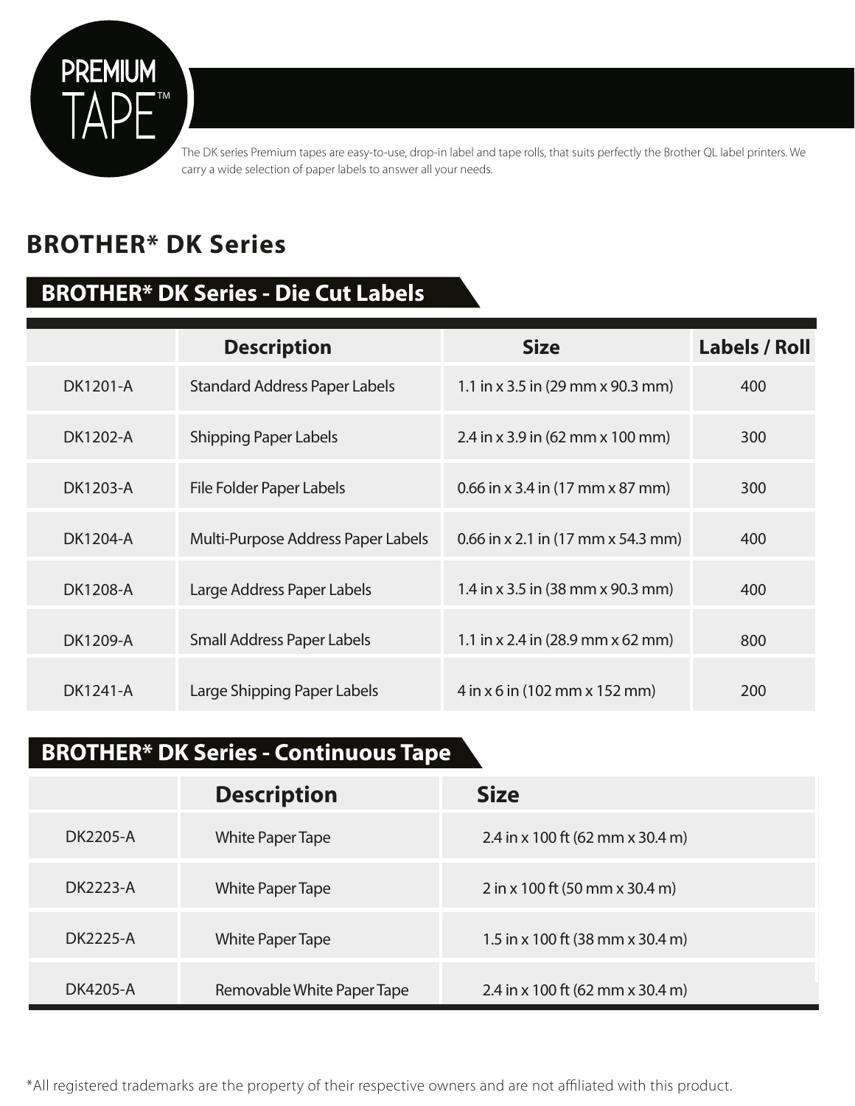

The DK series Premium tapes are easy-to-use, drop-in label and tape rolls, that suits perfectly the Brother QL label printers. We carry a wide selection of paper labels to answer all your needs.

## **BROTHER\* DK Series**

### **BROTHER\* DK Series - Die Cut Labels**

|          | <b>Description</b>                   | <b>Size</b>                                               | <b>Labels / Roll</b> |
|----------|--------------------------------------|-----------------------------------------------------------|----------------------|
| DK1201-A | <b>Standard Address Paper Labels</b> | 1.1 in x 3.5 in (29 mm x 90.3 mm)                         | 400                  |
| DK1202-A | <b>Shipping Paper Labels</b>         | 2.4 in x 3.9 in (62 mm x 100 mm)                          | 300                  |
| DK1203-A | File Folder Paper Labels             | 0.66 in x 3.4 in $(17 \text{ mm} \times 87 \text{ mm})$   | 300                  |
| DK1204-A | Multi-Purpose Address Paper Labels   | 0.66 in x 2.1 in $(17 \text{ mm} \times 54.3 \text{ mm})$ | 400                  |
| DK1208-A | Large Address Paper Labels           | 1.4 in x 3.5 in (38 mm x 90.3 mm)                         | 400                  |
| DK1209-A | Small Address Paper Labels           | 1.1 in x 2.4 in $(28.9 \text{ mm} \times 62 \text{ mm})$  | 800                  |
| DK1241-A | Large Shipping Paper Labels          | $4$ in x 6 in (102 mm x 152 mm)                           | 200                  |

## **BROTHER\* DK Series - Continuous Tape**

|          | <b>Description</b>         | <b>Size</b>                      |
|----------|----------------------------|----------------------------------|
| DK2205-A | <b>White Paper Tape</b>    | 2.4 in x 100 ft (62 mm x 30.4 m) |
| DK2223-A | <b>White Paper Tape</b>    | 2 in x 100 ft (50 mm x 30.4 m)   |
| DK2225-A | <b>White Paper Tape</b>    | 1.5 in x 100 ft (38 mm x 30.4 m) |
| DK4205-A | Removable White Paper Tape | 2.4 in x 100 ft (62 mm x 30.4 m) |

\*All registered trademarks are the property of their respective owners and are not affiliated with this product.